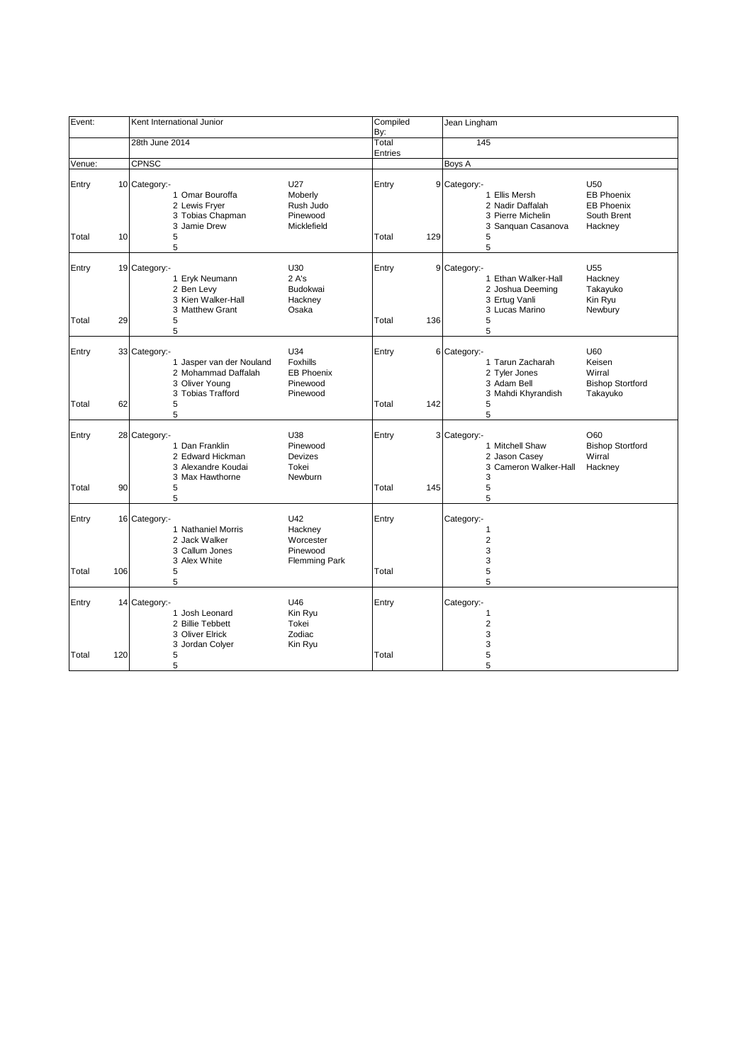| Event:         |     | Kent International Junior                                                                                    |                                                                 | Compiled<br>By: |     | Jean Lingham                                                                                                                                                                             |
|----------------|-----|--------------------------------------------------------------------------------------------------------------|-----------------------------------------------------------------|-----------------|-----|------------------------------------------------------------------------------------------------------------------------------------------------------------------------------------------|
|                |     | 28th June 2014                                                                                               |                                                                 | Total           |     | 145                                                                                                                                                                                      |
|                |     |                                                                                                              |                                                                 | Entries         |     |                                                                                                                                                                                          |
| Venue:         |     | CPNSC                                                                                                        |                                                                 |                 |     | Boys A                                                                                                                                                                                   |
| Entry<br>Total | 10  | 10 Category:-<br>1 Omar Bouroffa<br>2 Lewis Fryer<br>3 Tobias Chapman<br>3 Jamie Drew<br>5                   | U27<br>Moberly<br>Rush Judo<br>Pinewood<br>Micklefield          | Entry<br>Total  | 129 | U <sub>50</sub><br>9 Category:-<br><b>EB Phoenix</b><br>1 Ellis Mersh<br>2 Nadir Daffalah<br><b>EB Phoenix</b><br>3 Pierre Michelin<br>South Brent<br>3 Sanguan Casanova<br>Hackney<br>5 |
|                |     | 5                                                                                                            |                                                                 |                 |     | 5                                                                                                                                                                                        |
| Entry<br>Total | 29  | 19 Category:-<br>1 Eryk Neumann<br>2 Ben Levy<br>3 Kien Walker-Hall<br>3 Matthew Grant<br>5                  | U30<br>2A's<br>Budokwai<br>Hackney<br>Osaka                     | Entry<br>Total  | 136 | U <sub>55</sub><br>9 Category:-<br>1 Ethan Walker-Hall<br>Hackney<br>2 Joshua Deeming<br>Takayuko<br>3 Ertug Vanli<br>Kin Ryu<br>3 Lucas Marino<br>Newbury<br>5                          |
|                |     | 5                                                                                                            |                                                                 |                 |     | 5                                                                                                                                                                                        |
| Entry<br>Total | 62  | 33 Category:-<br>1 Jasper van der Nouland<br>2 Mohammad Daffalah<br>3 Oliver Young<br>3 Tobias Trafford<br>5 | U34<br>Foxhills<br><b>EB Phoenix</b><br>Pinewood<br>Pinewood    | Entry<br>Total  | 142 | 6 Category:-<br>U60<br>1 Tarun Zacharah<br>Keisen<br>2 Tyler Jones<br>Wirral<br>3 Adam Bell<br><b>Bishop Stortford</b><br>3 Mahdi Khyrandish<br>Takayuko<br>5                            |
|                |     | 5                                                                                                            |                                                                 |                 |     | 5                                                                                                                                                                                        |
| Entry<br>Total | 90  | 28 Category:-<br>1 Dan Franklin<br>2 Edward Hickman<br>3 Alexandre Koudai<br>3 Max Hawthorne<br>5<br>5       | U38<br>Pinewood<br>Devizes<br>Tokei<br>Newburn                  | Entry<br>Total  | 145 | 3 Category:-<br>O60<br><b>Bishop Stortford</b><br>1 Mitchell Shaw<br>2 Jason Casey<br>Wirral<br>3<br>Cameron Walker-Hall<br>Hackney<br>3<br>5<br>5                                       |
| Entry          |     | 16 Category:-<br>1 Nathaniel Morris<br>2 Jack Walker<br>3 Callum Jones<br>3 Alex White                       | U42<br>Hackney<br>Worcester<br>Pinewood<br><b>Flemming Park</b> | Entry           |     | Category:-<br>1<br>$\overline{2}$<br>3<br>3                                                                                                                                              |
| Total          | 106 | 5<br>5                                                                                                       |                                                                 | Total           |     | 5<br>5                                                                                                                                                                                   |
| Entry          |     | 14 Category:-<br>1 Josh Leonard<br>2 Billie Tebbett<br>3 Oliver Elrick<br>3 Jordan Colyer                    | U46<br>Kin Ryu<br>Tokei<br>Zodiac<br>Kin Ryu                    | Entry           |     | Category:-<br>1<br>$\overline{2}$<br>3<br>3                                                                                                                                              |
| Total          | 120 | 5<br>5                                                                                                       |                                                                 | Total           |     | 5<br>5                                                                                                                                                                                   |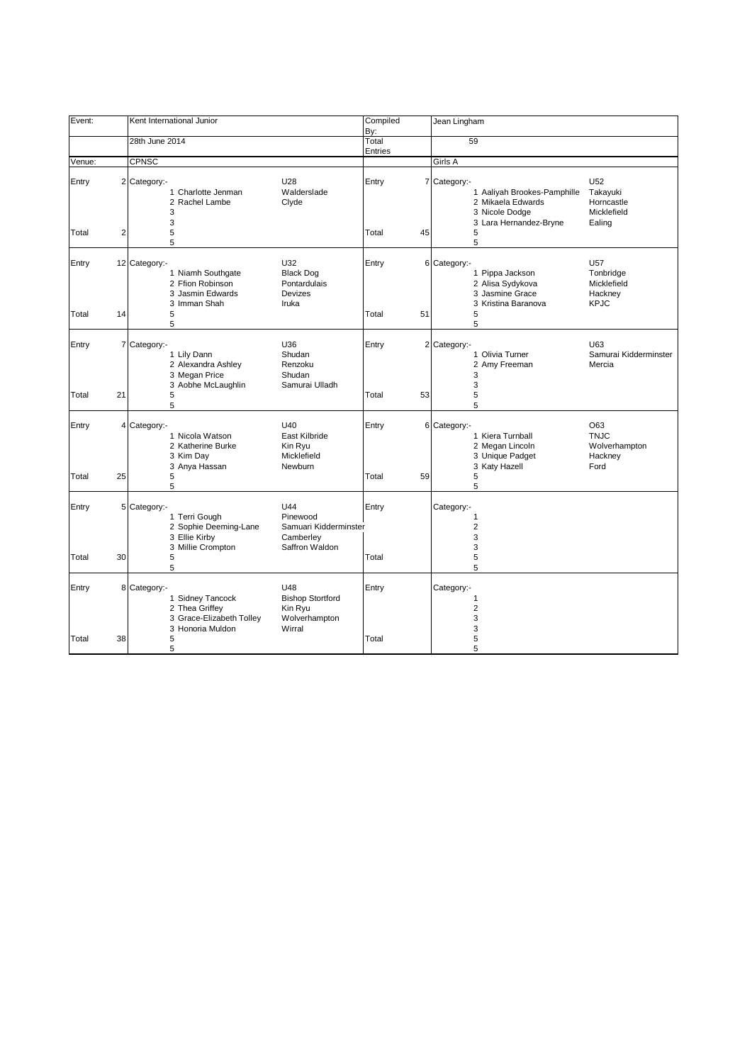| Event:         |    | Kent International Junior                                                                                                                                                  | Compiled<br>By:      | Jean Lingham                                                                                                                                                    |
|----------------|----|----------------------------------------------------------------------------------------------------------------------------------------------------------------------------|----------------------|-----------------------------------------------------------------------------------------------------------------------------------------------------------------|
|                |    | 28th June 2014                                                                                                                                                             | Total                | 59                                                                                                                                                              |
| Venue:         |    | <b>CPNSC</b>                                                                                                                                                               | Entries              | Girls A                                                                                                                                                         |
| Entry          |    | U28<br>2 Category:-<br>Walderslade<br>1 Charlotte Jenman<br>2 Rachel Lambe<br>Clyde<br>3                                                                                   | Entry                | U52<br>7 Category:-<br>Takayuki<br>1 Aaliyah Brookes-Pamphille<br>2 Mikaela Edwards<br>Horncastle<br>3 Nicole Dodge<br>Micklefield                              |
| Total          | 2  | 3<br>5<br>5                                                                                                                                                                | Total<br>45          | 3 Lara Hernandez-Bryne<br>Ealing<br>5<br>5                                                                                                                      |
| Entry<br>Total | 14 | U32<br>12 Category:-<br>1 Niamh Southgate<br><b>Black Dog</b><br>2 Ffion Robinson<br>Pontardulais<br>3 Jasmin Edwards<br><b>Devizes</b><br>3 Imman Shah<br>Iruka<br>5      | Entry<br>51<br>Total | U57<br>6 Category:-<br>1 Pippa Jackson<br>Tonbridge<br>2 Alisa Sydykova<br>Micklefield<br>3 Jasmine Grace<br>Hackney<br><b>KPJC</b><br>3 Kristina Baranova<br>5 |
| Entry          |    | 5<br>7 Category:-<br>U36<br>1 Lily Dann<br>Shudan<br>2 Alexandra Ashley<br>Renzoku<br>3 Megan Price<br>Shudan<br>3 Aobhe McLaughlin<br>Samurai Ulladh                      | Entry                | 5<br>U63<br>2 Category:-<br>1 Olivia Turner<br>Samurai Kidderminster<br>2 Amy Freeman<br>Mercia<br>3<br>3                                                       |
| Total          | 21 | 5<br>5                                                                                                                                                                     | Total<br>53          | 5<br>5                                                                                                                                                          |
| Entry<br>Total | 25 | U40<br>4 Category -<br>1 Nicola Watson<br>East Kilbride<br>2 Katherine Burke<br>Kin Ryu<br>3 Kim Day<br>Micklefield<br>3 Anya Hassan<br>Newburn<br>5<br>5                  | Entry<br>Total<br>59 | O63<br>6 Category:-<br>1 Kiera Turnball<br><b>TNJC</b><br>2 Megan Lincoln<br>Wolverhampton<br>3 Unique Padget<br>Hackney<br>3 Katy Hazell<br>Ford<br>5<br>5     |
| Entry          |    | U44<br>5 Category:-<br>1 Terri Gough<br>Pinewood<br>2 Sophie Deeming-Lane<br>Samuari Kidderminster<br>3 Ellie Kirby<br>Camberley<br>3 Millie Crompton<br>Saffron Waldon    | Entry                | Category:-<br>1<br>$\overline{2}$<br>3<br>3                                                                                                                     |
| Total          | 30 | 5<br>5                                                                                                                                                                     | Total                | 5<br>5                                                                                                                                                          |
| Entry          |    | U48<br>8 Category -<br><b>Bishop Stortford</b><br>1 Sidney Tancock<br>2 Thea Griffey<br>Kin Ryu<br>3 Grace-Elizabeth Tolley<br>Wolverhampton<br>3 Honoria Muldon<br>Wirral | Entry                | Category:-<br>1<br>$\boldsymbol{2}$<br>3<br>3                                                                                                                   |
| Total          | 38 | 5<br>5                                                                                                                                                                     | Total                | 5<br>5                                                                                                                                                          |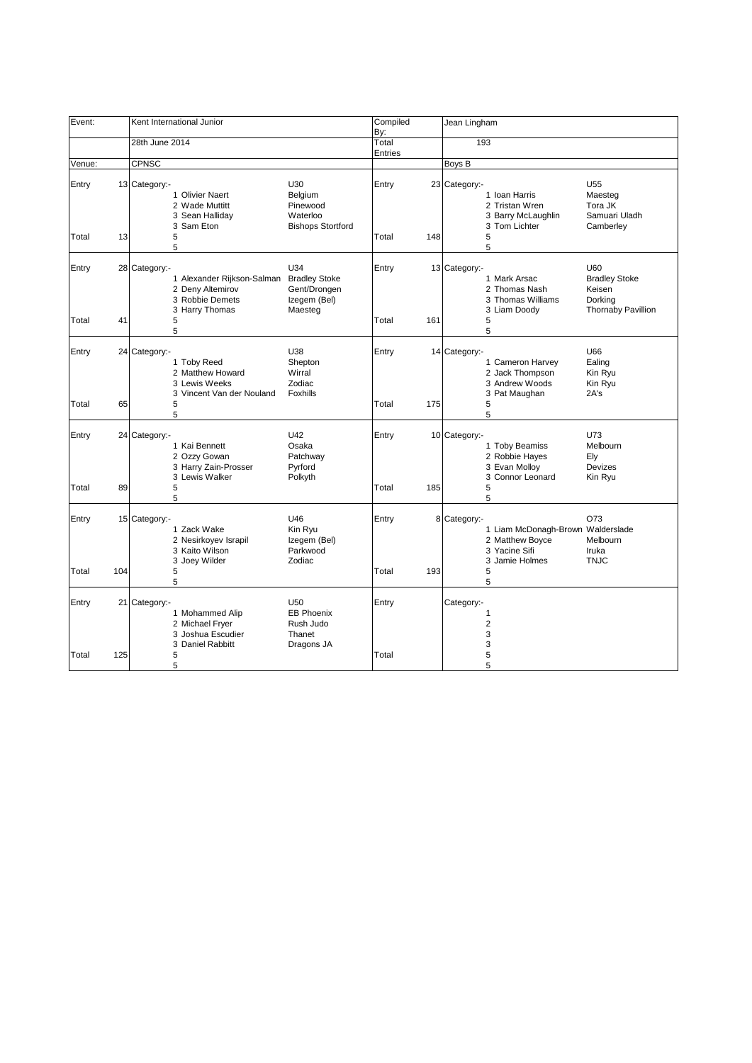| Event:         |     | Kent International Junior                                                                                               |                                                                           | Compiled<br>By: |     | Jean Lingham                                                                                                                                                        |
|----------------|-----|-------------------------------------------------------------------------------------------------------------------------|---------------------------------------------------------------------------|-----------------|-----|---------------------------------------------------------------------------------------------------------------------------------------------------------------------|
|                |     | 28th June 2014                                                                                                          |                                                                           | Total           |     | 193                                                                                                                                                                 |
|                |     |                                                                                                                         |                                                                           | Entries         |     |                                                                                                                                                                     |
| Venue:         |     | CPNSC                                                                                                                   |                                                                           |                 |     | Boys B                                                                                                                                                              |
| Entry<br>Total | 13  | 13 Category:-<br>1 Olivier Naert<br>2 Wade Muttitt<br>3 Sean Halliday<br>3 Sam Eton<br>5                                | U30<br>Belgium<br>Pinewood<br>Waterloo<br><b>Bishops Stortford</b>        | Entry<br>Total  | 148 | U <sub>55</sub><br>23 Category:-<br>1 Ioan Harris<br>Maesteg<br>2 Tristan Wren<br>Tora JK<br>3 Barry McLaughlin<br>Samuari Uladh<br>3 Tom Lichter<br>Camberlev<br>5 |
|                |     | 5                                                                                                                       |                                                                           |                 |     | 5                                                                                                                                                                   |
| Entry<br>Total | 41  | 28 Category:-<br>1 Alexander Rijkson-Salman Bradley Stoke<br>2 Deny Altemirov<br>3 Robbie Demets<br>3 Harry Thomas<br>5 | U34<br>Gent/Drongen<br>Izegem (Bel)<br>Maesteg                            | Entry<br>Total  | 161 | 13 Category:-<br>U60<br>1 Mark Arsac<br><b>Bradley Stoke</b><br>Keisen<br>2 Thomas Nash<br>3 Thomas Williams<br>Dorking<br>Thornaby Pavillion<br>3 Liam Doody<br>5  |
|                |     | 5                                                                                                                       |                                                                           |                 |     | 5                                                                                                                                                                   |
| Entry          |     | 24 Category:-<br>1 Toby Reed<br>2 Matthew Howard<br>3 Lewis Weeks<br>3 Vincent Van der Nouland                          | U38<br>Shepton<br>Wirral<br>Zodiac<br>Foxhills                            | Entry           |     | U66<br>14 Category:-<br>1 Cameron Harvey<br>Ealing<br>2 Jack Thompson<br>Kin Ryu<br>3 Andrew Woods<br>Kin Ryu<br>3 Pat Maughan<br>2A's                              |
| Total          | 65  | 5<br>5                                                                                                                  |                                                                           | Total           | 175 | 5<br>5                                                                                                                                                              |
| Entry<br>Total | 89  | 24 Category:-<br>1 Kai Bennett<br>2 Ozzy Gowan<br>3 Harry Zain-Prosser<br>3 Lewis Walker<br>5<br>5                      | U42<br>Osaka<br>Patchway<br>Pyrford<br>Polkyth                            | Entry<br>Total  | 185 | U73<br>10 Category:-<br>1 Toby Beamiss<br>Melbourn<br>2 Robbie Hayes<br>Ely<br>3 Evan Molloy<br>Devizes<br>3 Connor Leonard<br>Kin Ryu<br>5<br>5                    |
| Entry          |     | 15 Category:-<br>1 Zack Wake<br>2 Nesirkoyev Israpil<br>3 Kaito Wilson<br>3 Joey Wilder                                 | U46<br>Kin Ryu<br>Izegem (Bel)<br>Parkwood<br>Zodiac                      | Entry           |     | O73<br>8 Category:-<br>1 Liam McDonagh-Brown Walderslade<br>2 Matthew Boyce<br>Melbourn<br>3 Yacine Sifi<br>Iruka<br>3 Jamie Holmes<br><b>TNJC</b>                  |
| Total          | 104 | 5<br>5                                                                                                                  |                                                                           | Total           | 193 | 5<br>5                                                                                                                                                              |
| Entry          |     | 21 Category:-<br>1 Mohammed Alip<br>2 Michael Fryer<br>3 Joshua Escudier<br>3 Daniel Rabbitt                            | U <sub>50</sub><br><b>EB Phoenix</b><br>Rush Judo<br>Thanet<br>Dragons JA | Entry           |     | Category:-<br>1<br>$\overline{2}$<br>3<br>3                                                                                                                         |
| Total          | 125 | 5<br>5                                                                                                                  |                                                                           | Total           |     | 5<br>5                                                                                                                                                              |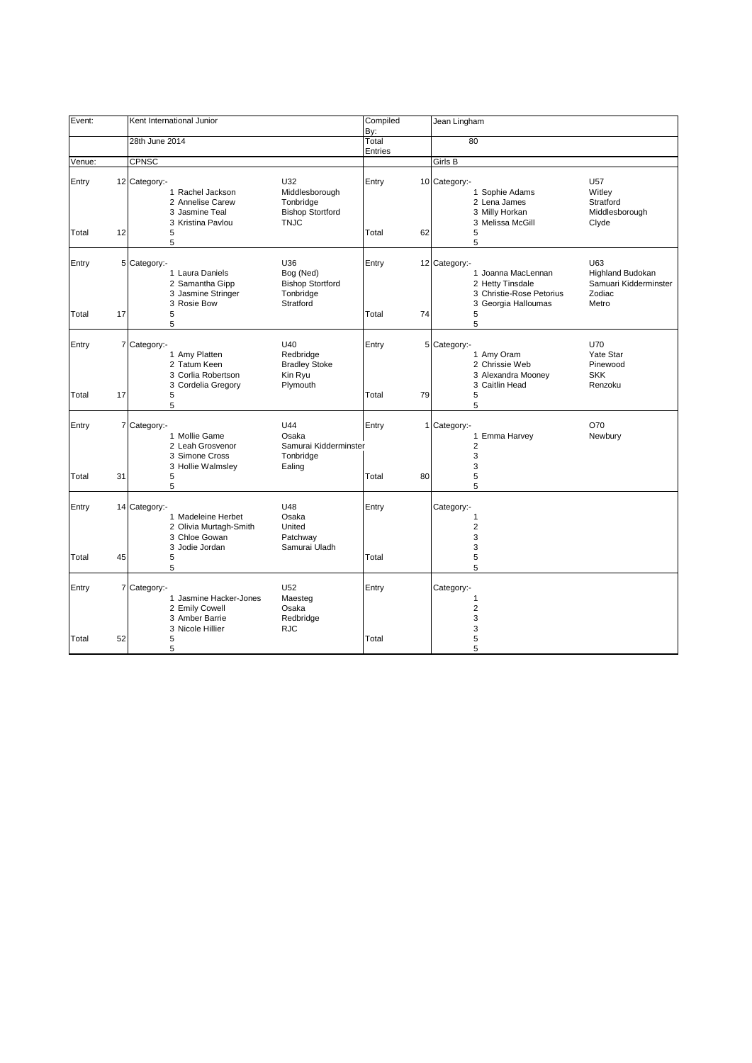| Event:         |    | Kent International Junior                                                                                                       |                                                                       | Compiled<br>By:      | Jean Lingham                                                                                                                                                                                  |
|----------------|----|---------------------------------------------------------------------------------------------------------------------------------|-----------------------------------------------------------------------|----------------------|-----------------------------------------------------------------------------------------------------------------------------------------------------------------------------------------------|
|                |    | 28th June 2014                                                                                                                  |                                                                       | Total                | 80                                                                                                                                                                                            |
|                |    |                                                                                                                                 |                                                                       | Entries              |                                                                                                                                                                                               |
| Venue:         |    | <b>CPNSC</b>                                                                                                                    |                                                                       |                      | Girls B                                                                                                                                                                                       |
| Entry          |    | U32<br>12 Category:-<br>1 Rachel Jackson<br>2 Annelise Carew<br>3 Jasmine Teal<br>3 Kristina Pavlou                             | Middlesborough<br>Tonbridge<br><b>Bishop Stortford</b><br><b>TNJC</b> | Entry                | 10 Category:-<br>U57<br>Witley<br>1 Sophie Adams<br>2 Lena James<br>Stratford<br>3 Milly Horkan<br>Middlesborough<br>3 Melissa McGill<br>Clyde                                                |
| Total          | 12 | 5<br>5                                                                                                                          |                                                                       | Total<br>62          | 5<br>5                                                                                                                                                                                        |
| Entry<br>Total | 17 | U36<br>5 Category:-<br>1 Laura Daniels<br>2 Samantha Gipp<br>3 Jasmine Stringer<br>3 Rosie Bow<br>5                             | Bog (Ned)<br><b>Bishop Stortford</b><br>Tonbridge<br>Stratford        | Entry<br>74<br>Total | U63<br>12 Category:-<br>1 Joanna MacLennan<br><b>Highland Budokan</b><br>2 Hetty Tinsdale<br>Samuari Kidderminster<br>3 Christie-Rose Petorius<br>Zodiac<br>3 Georgia Halloumas<br>Metro<br>5 |
|                |    | 5                                                                                                                               |                                                                       |                      | 5                                                                                                                                                                                             |
| Entry          |    | 7 Category:-<br>U40<br>1 Amy Platten<br>2 Tatum Keen<br>3 Corlia Robertson                                                      | Redbridge<br><b>Bradley Stoke</b><br>Kin Ryu                          | Entry                | <b>U70</b><br>5 Category:-<br>Yate Star<br>1 Amy Oram<br>2 Chrissie Web<br>Pinewood<br><b>SKK</b><br>3 Alexandra Mooney                                                                       |
| Total          | 17 | 3 Cordelia Gregory<br>5<br>5                                                                                                    | Plymouth                                                              | Total<br>79          | 3 Caitlin Head<br>Renzoku<br>5<br>5                                                                                                                                                           |
| Entry          |    | U44<br>7 Category:-<br>1 Mollie Game<br>2 Leah Grosvenor<br>3 Simone Cross<br>3 Hollie Walmsley                                 | Osaka<br>Samurai Kidderminster<br>Tonbridge<br>Ealing                 | Entry                | O70<br>1 Category:-<br>1 Emma Harvey<br>Newbury<br>$\overline{2}$<br>3<br>3                                                                                                                   |
| Total          | 31 | 5<br>5                                                                                                                          |                                                                       | Total<br>80          | 5<br>5                                                                                                                                                                                        |
| Entry          |    | U48<br>14 Category:-<br>1 Madeleine Herbet<br>2 Olivia Murtagh-Smith<br>3 Chloe Gowan<br>3 Jodie Jordan                         | Osaka<br>United<br>Patchway<br>Samurai Uladh                          | Entry                | Category:-<br>1<br>$\overline{2}$<br>3<br>3                                                                                                                                                   |
| Total          | 45 | 5<br>5                                                                                                                          |                                                                       | Total                | 5<br>5                                                                                                                                                                                        |
| Entry          |    | U <sub>52</sub><br>7 Category -<br>1 Jasmine Hacker-Jones<br>2 Emily Cowell<br>3 Amber Barrie<br><b>RJC</b><br>3 Nicole Hillier | Maesteg<br>Osaka<br>Redbridge                                         | Entry                | Category:-<br>1<br>$\boldsymbol{2}$<br>3<br>3                                                                                                                                                 |
| Total          | 52 | 5<br>5                                                                                                                          |                                                                       | Total                | 5<br>5                                                                                                                                                                                        |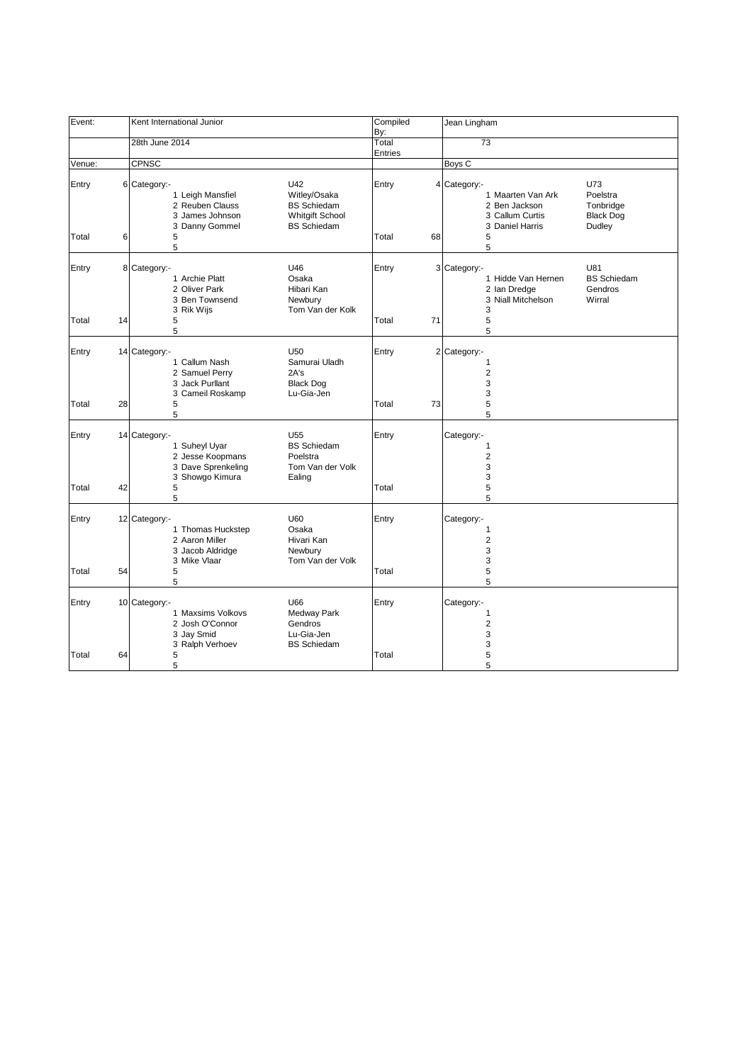| Event: |    | Kent International Junior                                                                   |                                                                                           | Compiled<br>By: | Jean Lingham                                                                                                                                           |
|--------|----|---------------------------------------------------------------------------------------------|-------------------------------------------------------------------------------------------|-----------------|--------------------------------------------------------------------------------------------------------------------------------------------------------|
|        |    | 28th June 2014                                                                              |                                                                                           | Total           | 73                                                                                                                                                     |
|        |    |                                                                                             |                                                                                           | Entries         |                                                                                                                                                        |
| Venue: |    | CPNSC                                                                                       |                                                                                           |                 | Boys <sub>C</sub>                                                                                                                                      |
| Entry  |    | 6 Category:-<br>1 Leigh Mansfiel<br>2 Reuben Clauss<br>3 James Johnson<br>3 Danny Gommel    | U42<br>Witley/Osaka<br><b>BS</b> Schiedam<br><b>Whitgift School</b><br><b>BS</b> Schiedam | Entry           | U73<br>4 Category:-<br>Poelstra<br>1 Maarten Van Ark<br>2 Ben Jackson<br>Tonbridge<br>3 Callum Curtis<br><b>Black Dog</b><br>Dudley<br>3 Daniel Harris |
| Total  | 6  | 5<br>5                                                                                      |                                                                                           | Total<br>68     | 5<br>5                                                                                                                                                 |
| Entry  |    | 8 Category:-<br>1 Archie Platt<br>2 Oliver Park<br>3 Ben Townsend<br>3 Rik Wijs             | U46<br>Osaka<br>Hibari Kan<br>Newbury<br>Tom Van der Kolk                                 | Entry           | U81<br>3 Category:-<br>1 Hidde Van Hernen<br><b>BS Schiedam</b><br>2 Ian Dredge<br>Gendros<br>3 Niall Mitchelson<br>Wirral<br>3                        |
| Total  | 14 | 5<br>5                                                                                      |                                                                                           | Total<br>71     | 5<br>5                                                                                                                                                 |
| Entry  |    | 14 Category:-<br>1 Callum Nash<br>2 Samuel Perry<br>3 Jack Purllant<br>3 Cameil Roskamp     | U <sub>50</sub><br>Samurai Uladh<br>2A's<br><b>Black Dog</b><br>Lu-Gia-Jen                | Entry           | 2 Category:-<br>1<br>$\overline{2}$<br>3<br>3                                                                                                          |
| Total  | 28 | 5<br>5                                                                                      |                                                                                           | 73<br>Total     | 5<br>5                                                                                                                                                 |
| Entry  |    | 14 Category:-<br>1 Suheyl Uyar<br>2 Jesse Koopmans<br>3 Dave Sprenkeling<br>3 Showgo Kimura | U <sub>55</sub><br><b>BS</b> Schiedam<br>Poelstra<br>Tom Van der Volk<br>Ealing           | Entry           | Category:-<br>1<br>$\overline{2}$<br>3<br>3                                                                                                            |
| Total  | 42 | 5<br>5                                                                                      |                                                                                           | Total           | 5<br>5                                                                                                                                                 |
| Entry  |    | 12 Category:-<br>1 Thomas Huckstep<br>2 Aaron Miller<br>3 Jacob Aldridge<br>3 Mike Vlaar    | U60<br>Osaka<br>Hivari Kan<br>Newbury<br>Tom Van der Volk                                 | Entry           | Category:-<br>1<br>$\overline{\mathbf{c}}$<br>3<br>3                                                                                                   |
| Total  | 54 | 5<br>5                                                                                      |                                                                                           | Total           | 5<br>5                                                                                                                                                 |
| Entry  |    | 10 Category:-<br>1 Maxsims Volkovs<br>2 Josh O'Connor<br>3 Jay Smid<br>3 Ralph Verhoev      | U66<br>Medway Park<br>Gendros<br>Lu-Gia-Jen<br><b>BS Schiedam</b>                         | Entry           | Category:-<br>1<br>$\overline{2}$<br>3<br>3                                                                                                            |
| Total  | 64 | 5<br>5                                                                                      |                                                                                           | Total           | 5<br>5                                                                                                                                                 |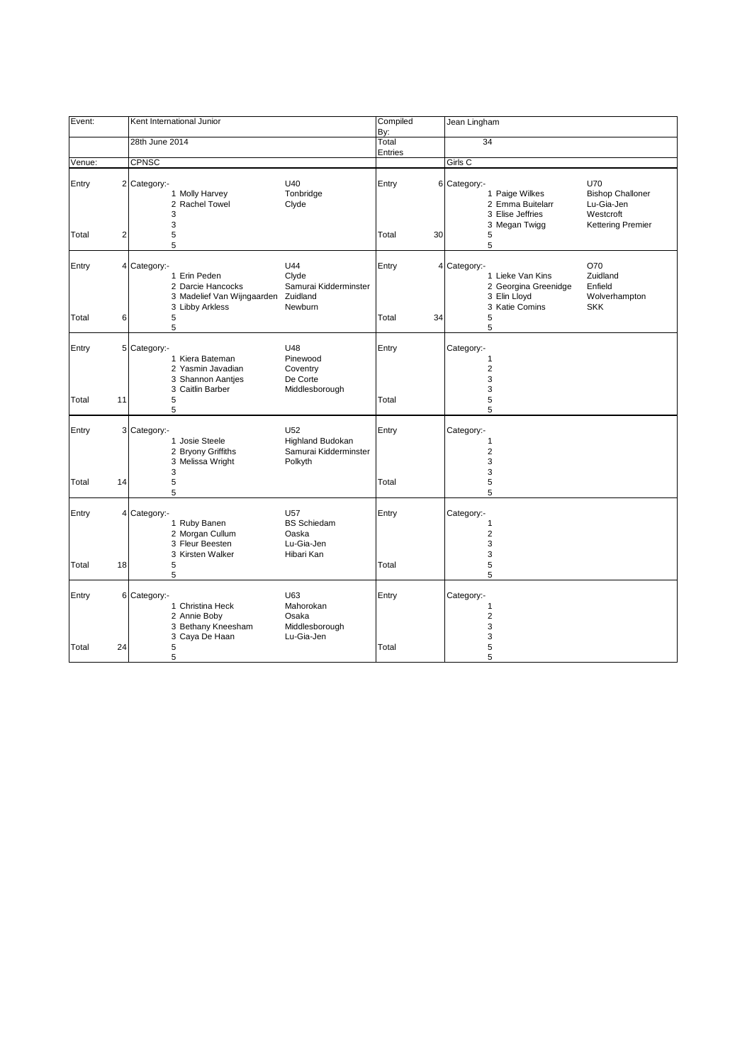| Event:         |                                         | Kent International Junior                                                                   |                                                                            | Compiled<br>By:  |    | Jean Lingham                                                                                                                                                                          |
|----------------|-----------------------------------------|---------------------------------------------------------------------------------------------|----------------------------------------------------------------------------|------------------|----|---------------------------------------------------------------------------------------------------------------------------------------------------------------------------------------|
|                | 28th June 2014                          |                                                                                             |                                                                            | Total<br>Entries |    | $\overline{34}$                                                                                                                                                                       |
| Venue:         | <b>CPNSC</b>                            |                                                                                             |                                                                            |                  |    | Girls C                                                                                                                                                                               |
| Entry<br>Total | 2 Category:-<br>$\overline{\mathbf{c}}$ | 1 Molly Harvey<br>2 Rachel Towel<br>3<br>3<br>5                                             | U40<br>Tonbridge<br>Clyde                                                  | Entry<br>Total   | 30 | <b>U70</b><br>6 Category:-<br><b>Bishop Challoner</b><br>1 Paige Wilkes<br>2 Emma Buitelarr<br>Lu-Gia-Jen<br>3 Elise Jeffries<br>Westcroft<br>3 Megan Twigg<br>Kettering Premier<br>5 |
|                |                                         | 5                                                                                           |                                                                            |                  |    | 5                                                                                                                                                                                     |
| Entry          | 4 Category:-                            | 1 Erin Peden<br>2 Darcie Hancocks<br>3 Madelief Van Wijngaarden Zuidland<br>3 Libby Arkless | U44<br>Clyde<br>Samurai Kidderminster<br>Newburn                           | Entry            |    | O70<br>4 Category:-<br>1 Lieke Van Kins<br>Zuidland<br>2 Georgina Greenidge<br>Enfield<br>3 Elin Lloyd<br>Wolverhampton<br>3 Katie Comins<br><b>SKK</b>                               |
| Total          | 6                                       | 5<br>5                                                                                      |                                                                            | Total            | 34 | 5<br>5                                                                                                                                                                                |
| Entry          | 5 Category:-                            | 1 Kiera Bateman<br>2 Yasmin Javadian<br>3 Shannon Aantjes                                   | U48<br>Pinewood<br>Coventry<br>De Corte                                    | Entry            |    | Category:-<br>1<br>$\overline{2}$<br>3                                                                                                                                                |
| Total          | 11                                      | 3 Caitlin Barber<br>5<br>5                                                                  | Middlesborough                                                             | Total            |    | 3<br>5<br>5                                                                                                                                                                           |
| Entry          | 3 Category:-                            | 1 Josie Steele<br>2 Bryony Griffiths<br>3 Melissa Wright<br>3                               | U <sub>52</sub><br>Highland Budokan<br>Samurai Kidderminster<br>Polkyth    | Entry            |    | Category:-<br>$\mathbf{1}$<br>$\overline{2}$<br>3<br>3                                                                                                                                |
| Total          | 14                                      | 5<br>5                                                                                      |                                                                            | Total            |    | 5<br>5                                                                                                                                                                                |
| Entry          | 4 Category:-                            | 1 Ruby Banen<br>2 Morgan Cullum<br>3 Fleur Beesten<br>3 Kirsten Walker                      | U <sub>57</sub><br><b>BS</b> Schiedam<br>Oaska<br>Lu-Gia-Jen<br>Hibari Kan | Entry            |    | Category:-<br>$\mathbf{1}$<br>$\overline{2}$<br>3<br>3                                                                                                                                |
| Total          | 18                                      | 5<br>5                                                                                      |                                                                            | Total            |    | 5<br>5                                                                                                                                                                                |
| Entry          | 6 Category:-                            | 1 Christina Heck<br>2 Annie Boby<br>3 Bethany Kneesham<br>3 Caya De Haan                    | U63<br>Mahorokan<br>Osaka<br>Middlesborough<br>Lu-Gia-Jen                  | Entry            |    | Category:-<br>$\mathbf{1}$<br>$\sqrt{2}$<br>3<br>3                                                                                                                                    |
| Total          | 24                                      | 5<br>5                                                                                      |                                                                            | Total            |    | 5<br>5                                                                                                                                                                                |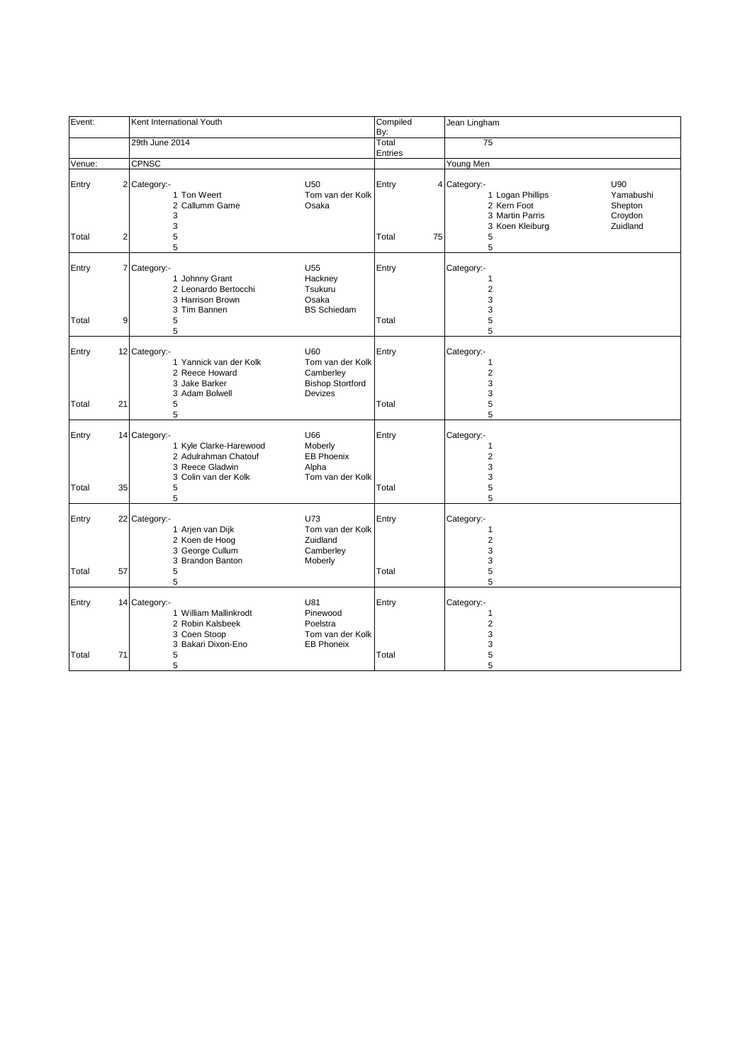| Event:         |                         | Kent International Youth                                                                                                                                                          | Compiled<br>By: | Jean Lingham                                                                                                                                |
|----------------|-------------------------|-----------------------------------------------------------------------------------------------------------------------------------------------------------------------------------|-----------------|---------------------------------------------------------------------------------------------------------------------------------------------|
|                |                         | 29th June 2014                                                                                                                                                                    | Total           | 75                                                                                                                                          |
|                |                         |                                                                                                                                                                                   | Entries         |                                                                                                                                             |
| Venue:         |                         | <b>CPNSC</b>                                                                                                                                                                      |                 | Young Men                                                                                                                                   |
| Entry          |                         | 2 Category:-<br><b>U50</b><br>1 Ton Weert<br>Tom van der Kolk<br>2 Callumm Game<br>Osaka<br>3<br>3                                                                                | Entry           | U90<br>4 Category:-<br>1 Logan Phillips<br>Yamabushi<br>2 Kern Foot<br>Shepton<br>3 Martin Parris<br>Croydon<br>Zuidland<br>3 Koen Kleiburg |
| Total          | $\overline{\mathbf{c}}$ | 5<br>5                                                                                                                                                                            | Total<br>75     | 5<br>5                                                                                                                                      |
| Entry<br>Total | 9                       | U <sub>55</sub><br>7 Category:-<br>1 Johnny Grant<br>Hackney<br>2 Leonardo Bertocchi<br>Tsukuru<br>3 Harrison Brown<br>Osaka<br>3 Tim Bannen<br><b>BS Schiedam</b><br>5           | Entry<br>Total  | Category:-<br>$\mathbf{1}$<br>$\overline{c}$<br>3<br>3<br>5                                                                                 |
|                |                         | 5                                                                                                                                                                                 |                 | 5                                                                                                                                           |
| Entry          |                         | 12 Category:-<br>U60<br>Tom van der Kolk<br>1 Yannick van der Kolk<br>2 Reece Howard<br>Camberley<br>3 Jake Barker<br><b>Bishop Stortford</b><br><b>Devizes</b><br>3 Adam Bolwell | Entry           | Category:-<br>1<br>$\overline{2}$<br>3<br>3                                                                                                 |
| Total          | 21                      | 5<br>5                                                                                                                                                                            | Total           | 5<br>5                                                                                                                                      |
| Entry          |                         | 14 Category:-<br>U66<br>1 Kyle Clarke-Harewood<br>Moberly<br>2 Adulrahman Chatouf<br><b>EB Phoenix</b><br>3 Reece Gladwin<br>Alpha<br>3 Colin van der Kolk<br>Tom van der Kolk    | Entry           | Category:-<br>$\mathbf{1}$<br>$\overline{2}$<br>3<br>3                                                                                      |
| Total          | 35                      | 5<br>5                                                                                                                                                                            | Total           | 5<br>5                                                                                                                                      |
| Entry          |                         | U73<br>22 Category:-<br>1 Arjen van Dijk<br>Tom van der Kolk<br>2 Koen de Hoog<br>Zuidland<br>3 George Cullum<br>Camberley<br>3 Brandon Banton<br>Moberly                         | Entry           | Category:-<br>$\mathbf{1}$<br>$\overline{2}$<br>3<br>3                                                                                      |
| Total          | 57                      | 5<br>5                                                                                                                                                                            | Total           | 5<br>5                                                                                                                                      |
| Entry          |                         | U81<br>14 Category:-<br>1 William Mallinkrodt<br>Pinewood<br>Poelstra<br>2 Robin Kalsbeek<br>3 Coen Stoop<br>Tom van der Kolk<br>3 Bakari Dixon-Eno<br><b>EB Phoneix</b>          | Entry           | Category:-<br>$\mathbf{1}$<br>$\mathbf 2$<br>3<br>3                                                                                         |
| Total          | 71                      | 5<br>5                                                                                                                                                                            | Total           | 5<br>5                                                                                                                                      |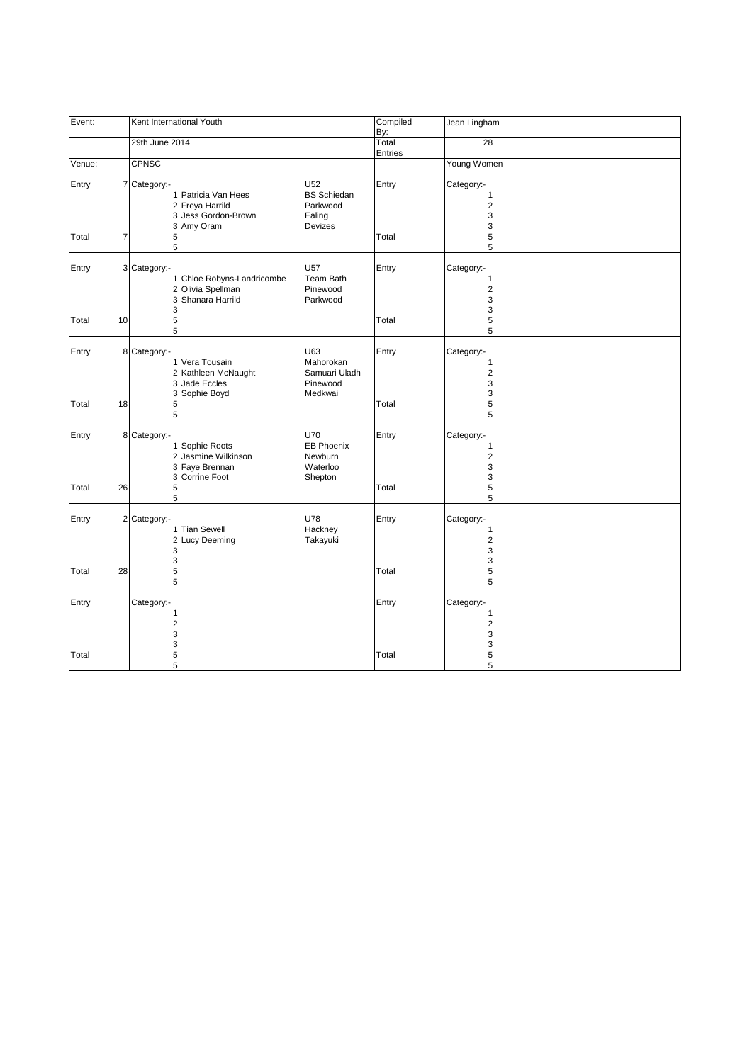| Event:         |    | Kent International Youth                                                                                                 | Compiled<br>By:                                                       | Jean Lingham                                                         |
|----------------|----|--------------------------------------------------------------------------------------------------------------------------|-----------------------------------------------------------------------|----------------------------------------------------------------------|
|                |    | 29th June 2014                                                                                                           | Total<br>Entries                                                      | 28                                                                   |
| Venue:         |    | <b>CPNSC</b>                                                                                                             |                                                                       | Young Women                                                          |
| Entry          |    | U <sub>52</sub><br>7 Category:-<br>1 Patricia Van Hees<br>2 Freya Harrild<br>3 Jess Gordon-Brown<br>Ealing<br>3 Amy Oram | Entry<br><b>BS Schiedan</b><br>Parkwood<br>Devizes                    | Category:-<br>$\mathbf{1}$<br>$\overline{\mathbf{c}}$<br>3<br>3      |
| Total          | 7  | 5<br>5                                                                                                                   | Total                                                                 | 5<br>5                                                               |
| Entry          |    | 3 Category:-<br>U <sub>57</sub><br>1 Chloe Robyns-Landricombe<br>2 Olivia Spellman<br>3 Shanara Harrild<br>3             | Entry<br>Team Bath<br>Pinewood<br>Parkwood                            | Category:-<br>$\mathbf{1}$<br>$\overline{2}$<br>3<br>3               |
| Total          | 10 | 5<br>5                                                                                                                   | Total                                                                 | 5<br>5                                                               |
| Entry          |    | 8 Category:-<br>U63<br>1 Vera Tousain<br>2 Kathleen McNaught<br>3 Jade Eccles<br>3 Sophie Boyd                           | Entry<br>Mahorokan<br>Samuari Uladh<br>Pinewood<br>Medkwai            | Category:-<br>1<br>$\overline{\mathbf{c}}$<br>3<br>3                 |
| Total          | 18 | 5<br>5                                                                                                                   | Total                                                                 | 5<br>5                                                               |
| Entry<br>Total | 26 | 8 Category:-<br>U70<br>1 Sophie Roots<br>2 Jasmine Wilkinson<br>3 Faye Brennan<br>3 Corrine Foot<br>$\mathbf 5$          | Entry<br><b>EB Phoenix</b><br>Newburn<br>Waterloo<br>Shepton<br>Total | Category:-<br>$\mathbf{1}$<br>$\overline{\mathbf{c}}$<br>3<br>3<br>5 |
|                |    | 5                                                                                                                        |                                                                       | 5                                                                    |
| Entry          |    | 2 Category:-<br>U78<br>1 Tian Sewell<br>2 Lucy Deeming<br>3<br>3                                                         | Entry<br>Hackney<br>Takayuki                                          | Category:-<br>1<br>$\overline{\mathbf{c}}$<br>3<br>3                 |
| Total          | 28 | 5<br>5                                                                                                                   | Total                                                                 | 5<br>5                                                               |
| Entry          |    | Category:-<br>1<br>$\overline{c}$<br>3                                                                                   | Entry                                                                 | Category:-<br>1<br>$\overline{c}$<br>3                               |
| Total          |    | 3<br>5<br>5                                                                                                              | Total                                                                 | 3<br>5<br>5                                                          |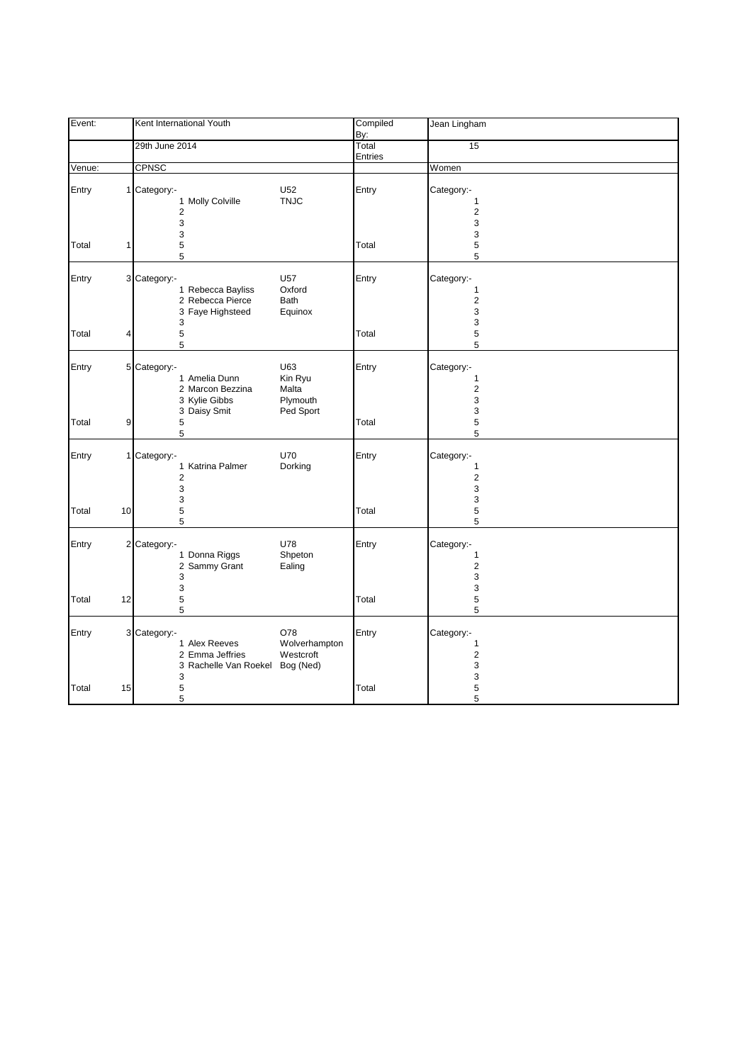| Event: |    | Kent International Youth                                                       |                                                | Compiled<br>By:  | Jean Lingham                                           |
|--------|----|--------------------------------------------------------------------------------|------------------------------------------------|------------------|--------------------------------------------------------|
|        |    | 29th June 2014                                                                 |                                                | Total<br>Entries | 15                                                     |
| Venue: |    | CPNSC                                                                          |                                                |                  | Women                                                  |
| Entry  |    | 1 Category:-<br>1 Molly Colville<br>$\overline{2}$<br>3<br>3                   | U <sub>52</sub><br><b>TNJC</b>                 | Entry            | Category:-<br>1<br>$\overline{2}$<br>3<br>3            |
| Total  | 1  | 5<br>5                                                                         |                                                | Total            | 5<br>5                                                 |
| Entry  |    | 3 Category:-<br>1 Rebecca Bayliss<br>2 Rebecca Pierce<br>3 Faye Highsteed<br>3 | U57<br>Oxford<br>Bath<br>Equinox               | Entry            | Category:-<br>$\mathbf{1}$<br>$\sqrt{2}$<br>3<br>3     |
| Total  | 4  | 5<br>5                                                                         |                                                | Total            | 5<br>5                                                 |
| Entry  |    | 5 Category:-<br>1 Amelia Dunn<br>2 Marcon Bezzina<br>3 Kylie Gibbs             | U63<br>Kin Ryu<br>Malta<br>Plymouth            | Entry            | Category:-<br>1<br>$\overline{c}$<br>3                 |
| Total  | 9  | 3 Daisy Smit<br>5<br>5                                                         | Ped Sport                                      | Total            | 3<br>5<br>5                                            |
| Entry  |    | 1 Category:-<br>1 Katrina Palmer<br>$\overline{2}$<br>3<br>3                   | U70<br>Dorking                                 | Entry            | Category:-<br>$\mathbf{1}$<br>$\overline{2}$<br>3<br>3 |
| Total  | 10 | 5<br>5                                                                         |                                                | Total            | 5<br>5                                                 |
| Entry  |    | 2 Category:-<br>1 Donna Riggs<br>2 Sammy Grant<br>3<br>3                       | U78<br>Shpeton<br>Ealing                       | Entry            | Category:-<br>1<br>$\overline{2}$<br>3<br>3            |
| Total  | 12 | 5<br>5                                                                         |                                                | Total            | 5<br>5                                                 |
| Entry  |    | 3 Category:-<br>1 Alex Reeves<br>2 Emma Jeffries<br>3 Rachelle Van Roekel<br>3 | O78<br>Wolverhampton<br>Westcroft<br>Bog (Ned) | Entry            | Category:-<br>$\mathbf{1}$<br>$\sqrt{2}$<br>3<br>3     |
| Total  | 15 | 5<br>5                                                                         |                                                | Total            | 5<br>5                                                 |